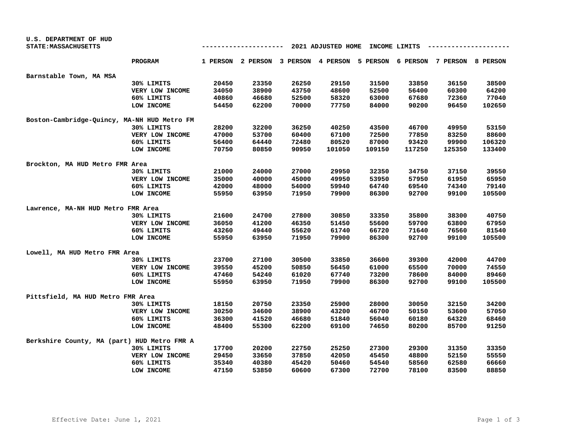| U.S. DEPARTMENT OF HUD                      |                 |                                                |       |                                     |        |                                     |        |        |        |
|---------------------------------------------|-----------------|------------------------------------------------|-------|-------------------------------------|--------|-------------------------------------|--------|--------|--------|
| STATE: MASSACHUSETTS                        |                 | 2021 ADJUSTED HOME<br>INCOME LIMITS<br>------- |       |                                     |        |                                     |        |        |        |
|                                             | <b>PROGRAM</b>  |                                                |       | 1 PERSON 2 PERSON 3 PERSON 4 PERSON |        | 5 PERSON 6 PERSON 7 PERSON 8 PERSON |        |        |        |
| Barnstable Town, MA MSA                     |                 |                                                |       |                                     |        |                                     |        |        |        |
|                                             | 30% LIMITS      | 20450                                          | 23350 | 26250                               | 29150  | 31500                               | 33850  | 36150  | 38500  |
|                                             | VERY LOW INCOME | 34050                                          | 38900 | 43750                               | 48600  | 52500                               | 56400  | 60300  | 64200  |
|                                             | 60% LIMITS      | 40860                                          | 46680 | 52500                               | 58320  | 63000                               | 67680  | 72360  | 77040  |
|                                             | LOW INCOME      | 54450                                          | 62200 | 70000                               | 77750  | 84000                               | 90200  | 96450  | 102650 |
| Boston-Cambridge-Quincy, MA-NH HUD Metro FM |                 |                                                |       |                                     |        |                                     |        |        |        |
|                                             | 30% LIMITS      | 28200                                          | 32200 | 36250                               | 40250  | 43500                               | 46700  | 49950  | 53150  |
|                                             | VERY LOW INCOME | 47000                                          | 53700 | 60400                               | 67100  | 72500                               | 77850  | 83250  | 88600  |
|                                             | 60% LIMITS      | 56400                                          | 64440 | 72480                               | 80520  | 87000                               | 93420  | 99900  | 106320 |
|                                             | LOW INCOME      | 70750                                          | 80850 | 90950                               | 101050 | 109150                              | 117250 | 125350 | 133400 |
| Brockton, MA HUD Metro FMR Area             |                 |                                                |       |                                     |        |                                     |        |        |        |
|                                             | 30% LIMITS      | 21000                                          | 24000 | 27000                               | 29950  | 32350                               | 34750  | 37150  | 39550  |
|                                             | VERY LOW INCOME | 35000                                          | 40000 | 45000                               | 49950  | 53950                               | 57950  | 61950  | 65950  |
|                                             | 60% LIMITS      | 42000                                          | 48000 | 54000                               | 59940  | 64740                               | 69540  | 74340  | 79140  |
|                                             | LOW INCOME      | 55950                                          | 63950 | 71950                               | 79900  | 86300                               | 92700  | 99100  | 105500 |
| Lawrence, MA-NH HUD Metro FMR Area          |                 |                                                |       |                                     |        |                                     |        |        |        |
|                                             | 30% LIMITS      | 21600                                          | 24700 | 27800                               | 30850  | 33350                               | 35800  | 38300  | 40750  |
|                                             | VERY LOW INCOME | 36050                                          | 41200 | 46350                               | 51450  | 55600                               | 59700  | 63800  | 67950  |
|                                             | 60% LIMITS      | 43260                                          | 49440 | 55620                               | 61740  | 66720                               | 71640  | 76560  | 81540  |
|                                             | LOW INCOME      | 55950                                          | 63950 | 71950                               | 79900  | 86300                               | 92700  | 99100  | 105500 |
| Lowell, MA HUD Metro FMR Area               |                 |                                                |       |                                     |        |                                     |        |        |        |
|                                             | 30% LIMITS      | 23700                                          | 27100 | 30500                               | 33850  | 36600                               | 39300  | 42000  | 44700  |
|                                             | VERY LOW INCOME | 39550                                          | 45200 | 50850                               | 56450  | 61000                               | 65500  | 70000  | 74550  |
|                                             | 60% LIMITS      | 47460                                          | 54240 | 61020                               | 67740  | 73200                               | 78600  | 84000  | 89460  |
|                                             | LOW INCOME      | 55950                                          | 63950 | 71950                               | 79900  | 86300                               | 92700  | 99100  | 105500 |
| Pittsfield, MA HUD Metro FMR Area           |                 |                                                |       |                                     |        |                                     |        |        |        |
|                                             | 30% LIMITS      | 18150                                          | 20750 | 23350                               | 25900  | 28000                               | 30050  | 32150  | 34200  |
|                                             | VERY LOW INCOME | 30250                                          | 34600 | 38900                               | 43200  | 46700                               | 50150  | 53600  | 57050  |
|                                             | 60% LIMITS      | 36300                                          | 41520 | 46680                               | 51840  | 56040                               | 60180  | 64320  | 68460  |
|                                             | LOW INCOME      | 48400                                          | 55300 | 62200                               | 69100  | 74650                               | 80200  | 85700  | 91250  |
| Berkshire County, MA (part) HUD Metro FMR A |                 |                                                |       |                                     |        |                                     |        |        |        |
|                                             | 30% LIMITS      | 17700                                          | 20200 | 22750                               | 25250  | 27300                               | 29300  | 31350  | 33350  |
|                                             | VERY LOW INCOME | 29450                                          | 33650 | 37850                               | 42050  | 45450                               | 48800  | 52150  | 55550  |
|                                             | 60% LIMITS      | 35340                                          | 40380 | 45420                               | 50460  | 54540                               | 58560  | 62580  | 66660  |
|                                             | LOW INCOME      | 47150                                          | 53850 | 60600                               | 67300  | 72700                               | 78100  | 83500  | 88850  |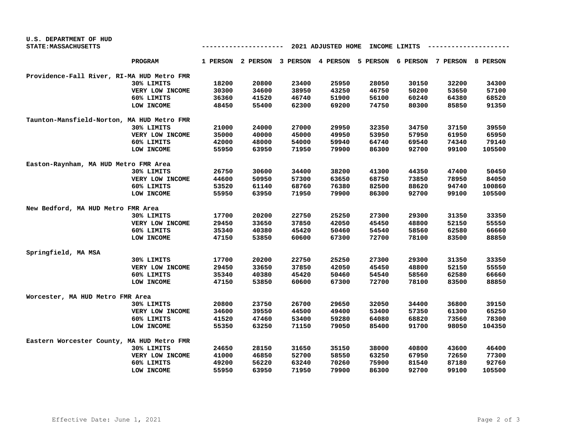| U.S. DEPARTMENT OF HUD                     |                 |       |       |       |                                                                         |       |               |       |        |
|--------------------------------------------|-----------------|-------|-------|-------|-------------------------------------------------------------------------|-------|---------------|-------|--------|
| STATE: MASSACHUSETTS                       |                 |       |       |       | 2021 ADJUSTED HOME                                                      |       | INCOME LIMITS |       |        |
|                                            | <b>PROGRAM</b>  |       |       |       | 1 PERSON 2 PERSON 3 PERSON 4 PERSON 5 PERSON 6 PERSON 7 PERSON 8 PERSON |       |               |       |        |
| Providence-Fall River, RI-MA HUD Metro FMR |                 |       |       |       |                                                                         |       |               |       |        |
|                                            | 30% LIMITS      | 18200 | 20800 | 23400 | 25950                                                                   | 28050 | 30150         | 32200 | 34300  |
|                                            | VERY LOW INCOME | 30300 | 34600 | 38950 | 43250                                                                   | 46750 | 50200         | 53650 | 57100  |
|                                            | 60% LIMITS      | 36360 | 41520 | 46740 | 51900                                                                   | 56100 | 60240         | 64380 | 68520  |
|                                            | LOW INCOME      | 48450 | 55400 | 62300 | 69200                                                                   | 74750 | 80300         | 85850 | 91350  |
| Taunton-Mansfield-Norton, MA HUD Metro FMR |                 |       |       |       |                                                                         |       |               |       |        |
|                                            | 30% LIMITS      | 21000 | 24000 | 27000 | 29950                                                                   | 32350 | 34750         | 37150 | 39550  |
|                                            | VERY LOW INCOME | 35000 | 40000 | 45000 | 49950                                                                   | 53950 | 57950         | 61950 | 65950  |
|                                            | 60% LIMITS      | 42000 | 48000 | 54000 | 59940                                                                   | 64740 | 69540         | 74340 | 79140  |
|                                            | LOW INCOME      | 55950 | 63950 | 71950 | 79900                                                                   | 86300 | 92700         | 99100 | 105500 |
| Easton-Raynham, MA HUD Metro FMR Area      |                 |       |       |       |                                                                         |       |               |       |        |
|                                            | 30% LIMITS      | 26750 | 30600 | 34400 | 38200                                                                   | 41300 | 44350         | 47400 | 50450  |
|                                            | VERY LOW INCOME | 44600 | 50950 | 57300 | 63650                                                                   | 68750 | 73850         | 78950 | 84050  |
|                                            | 60% LIMITS      | 53520 | 61140 | 68760 | 76380                                                                   | 82500 | 88620         | 94740 | 100860 |
|                                            | LOW INCOME      | 55950 | 63950 | 71950 | 79900                                                                   | 86300 | 92700         | 99100 | 105500 |
| New Bedford, MA HUD Metro FMR Area         |                 |       |       |       |                                                                         |       |               |       |        |
|                                            | 30% LIMITS      | 17700 | 20200 | 22750 | 25250                                                                   | 27300 | 29300         | 31350 | 33350  |
|                                            | VERY LOW INCOME | 29450 | 33650 | 37850 | 42050                                                                   | 45450 | 48800         | 52150 | 55550  |
|                                            | 60% LIMITS      | 35340 | 40380 | 45420 | 50460                                                                   | 54540 | 58560         | 62580 | 66660  |
|                                            | LOW INCOME      | 47150 | 53850 | 60600 | 67300                                                                   | 72700 | 78100         | 83500 | 88850  |
| Springfield, MA MSA                        |                 |       |       |       |                                                                         |       |               |       |        |
|                                            | 30% LIMITS      | 17700 | 20200 | 22750 | 25250                                                                   | 27300 | 29300         | 31350 | 33350  |
|                                            | VERY LOW INCOME | 29450 | 33650 | 37850 | 42050                                                                   | 45450 | 48800         | 52150 | 55550  |
|                                            | 60% LIMITS      | 35340 | 40380 | 45420 | 50460                                                                   | 54540 | 58560         | 62580 | 66660  |
|                                            | LOW INCOME      | 47150 | 53850 | 60600 | 67300                                                                   | 72700 | 78100         | 83500 | 88850  |
| Worcester, MA HUD Metro FMR Area           |                 |       |       |       |                                                                         |       |               |       |        |
|                                            | 30% LIMITS      | 20800 | 23750 | 26700 | 29650                                                                   | 32050 | 34400         | 36800 | 39150  |
|                                            | VERY LOW INCOME | 34600 | 39550 | 44500 | 49400                                                                   | 53400 | 57350         | 61300 | 65250  |
|                                            | 60% LIMITS      | 41520 | 47460 | 53400 | 59280                                                                   | 64080 | 68820         | 73560 | 78300  |
|                                            | LOW INCOME      | 55350 | 63250 | 71150 | 79050                                                                   | 85400 | 91700         | 98050 | 104350 |
| Eastern Worcester County, MA HUD Metro FMR |                 |       |       |       |                                                                         |       |               |       |        |
|                                            | 30% LIMITS      | 24650 | 28150 | 31650 | 35150                                                                   | 38000 | 40800         | 43600 | 46400  |
|                                            | VERY LOW INCOME | 41000 | 46850 | 52700 | 58550                                                                   | 63250 | 67950         | 72650 | 77300  |
|                                            | 60% LIMITS      | 49200 | 56220 | 63240 | 70260                                                                   | 75900 | 81540         | 87180 | 92760  |
|                                            | LOW INCOME      | 55950 | 63950 | 71950 | 79900                                                                   | 86300 | 92700         | 99100 | 105500 |